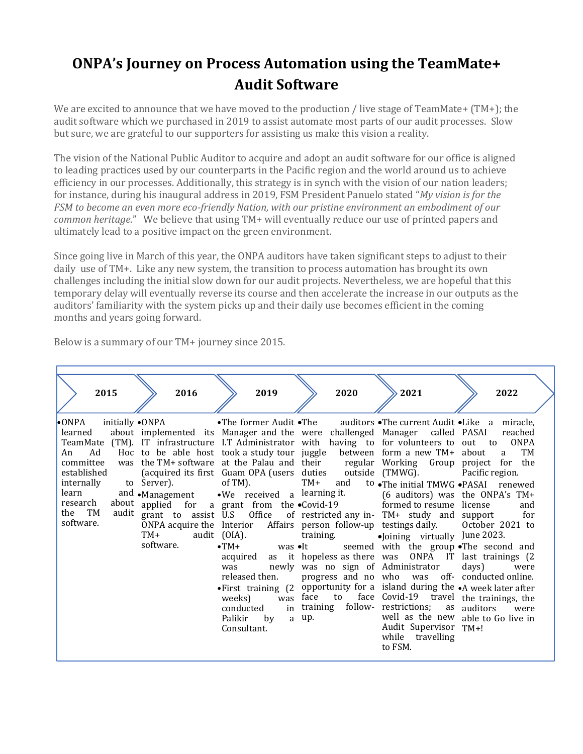## **ONPA's Journey on Process Automation using the TeamMate+ Audit Software**

We are excited to announce that we have moved to the production / live stage of TeamMate+ (TM+); the audit software which we purchased in 2019 to assist automate most parts of our audit processes. Slow but sure, we are grateful to our supporters for assisting us make this vision a reality.

The vision of the National Public Auditor to acquire and adopt an audit software for our office is aligned to leading practices used by our counterparts in the Pacific region and the world around us to achieve efficiency in our processes. Additionally, this strategy is in synch with the vision of our nation leaders; for instance, during his inaugural address in 2019, FSM President Panuelo stated "*My vision is for the FSM to become an even more eco-friendly Nation, with our pristine environment an embodiment of our common heritage*." We believe that using TM+ will eventually reduce our use of printed papers and ultimately lead to a positive impact on the green environment.

Since going live in March of this year, the ONPA auditors have taken significant steps to adjust to their daily use of TM+. Like any new system, the transition to process automation has brought its own challenges including the initial slow down for our audit projects. Nevertheless, we are hopeful that this temporary delay will eventually reverse its course and then accelerate the increase in our outputs as the auditors' familiarity with the system picks up and their daily use becomes efficient in the coming months and years going forward.

| Below is a summary of our TM+ journey since 2015. |  |  |  |
|---------------------------------------------------|--|--|--|
|---------------------------------------------------|--|--|--|

| 2015                                                                                                                              | 2016                                               | 2019                                                                                                                                                                                                                                                                                                                                                                                                                                                                                                                                                                                                                                                                                                                                                                                                                                                                                                                                                                     | 2020                                                                    | 2021                                                                                                                                                                                                                                                                                                                                                                                                                                                                     | 2022                                                                                                                                                         |
|-----------------------------------------------------------------------------------------------------------------------------------|----------------------------------------------------|--------------------------------------------------------------------------------------------------------------------------------------------------------------------------------------------------------------------------------------------------------------------------------------------------------------------------------------------------------------------------------------------------------------------------------------------------------------------------------------------------------------------------------------------------------------------------------------------------------------------------------------------------------------------------------------------------------------------------------------------------------------------------------------------------------------------------------------------------------------------------------------------------------------------------------------------------------------------------|-------------------------------------------------------------------------|--------------------------------------------------------------------------------------------------------------------------------------------------------------------------------------------------------------------------------------------------------------------------------------------------------------------------------------------------------------------------------------------------------------------------------------------------------------------------|--------------------------------------------------------------------------------------------------------------------------------------------------------------|
| $\bullet$ ONPA<br>initially •ONPA<br>learned<br>Ad<br>An<br>established<br>internally<br>learn<br>research<br>the TM<br>software. | to Server).<br>and •Management<br>TM+<br>software. | •The former Audit •The auditors •The current Audit •Like a miracle,<br>about implemented its Manager and the were challenged Manager called PASAI<br>TeamMate (TM). IT infrastructure I.T Administrator with having to for volunteers to out to ONPA<br>Hoc to be able host took a study tour juggle between form a new TM+ about a<br>committee was the TM+ software at the Palau and their<br>(acquired its first Guam OPA (users duties outside (TMWG).<br>$of TM$ ). $TM+$<br>$\bullet$ We received a learning it.<br>about applied for a grant from the Covid-19 formed to resume license<br>audit grant to assist U.S Office of restricted any in- TM+ study and support for<br>ONPA acquire the Interior Affairs person follow-up testings daily. October 2021 to<br>audit (OIA).<br>$\bullet$ TM+<br>$was \bullet It$<br>acquired<br>was<br>released then.<br>$\bullet$ First training $(2)$<br>weeks)<br>was<br>in<br>conducted<br>Palikir<br>by<br>Consultant. | and<br>training.<br>newly was no sign of Administrator<br>face<br>a up. | regular Working<br>to .The initial TMWG .PASAI renewed<br>•Joining virtually June 2023.<br>seemed with the group .The second and<br>as it hopeless as there was ONPA IT last trainings (2<br>progress and no who was off- conducted online.<br>opportunity for a island during the $\bullet$ A week later after<br>to face Covid-19 travel the trainings, the<br>training follow- restrictions; as auditors were<br>Audit Supervisor TM+!<br>while travelling<br>to FSM. | reached<br>TM<br>Group project for the<br>Pacific region.<br>(6 auditors) was the ONPA's $TM+$<br>and<br>days)<br>were<br>well as the new able to Go live in |